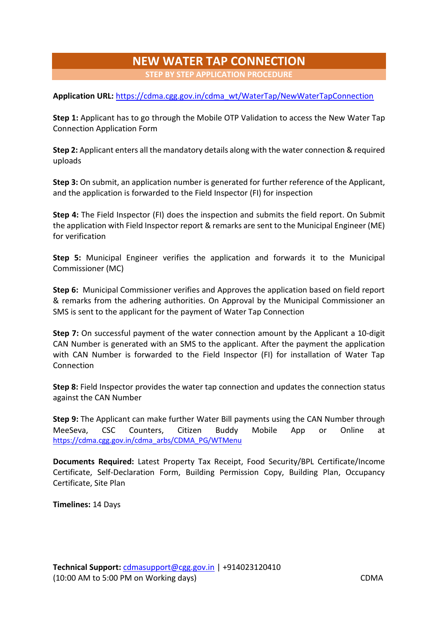## **NEW WATER TAP CONNECTION STEP BY STEP APPLICATION PROCEDURE**

**Application URL:** [https://cdma.cgg.gov.in/cdma\\_wt/WaterTap/NewWaterTapConnection](https://cdma.cgg.gov.in/cdma_wt/WaterTap/NewWaterTapConnection)

**Step 1:** Applicant has to go through the Mobile OTP Validation to access the New Water Tap Connection Application Form

**Step 2:** Applicant enters all the mandatory details along with the water connection & required uploads

**Step 3:** On submit, an application number is generated for further reference of the Applicant, and the application is forwarded to the Field Inspector (FI) for inspection

**Step 4:** The Field Inspector (FI) does the inspection and submits the field report. On Submit the application with Field Inspector report & remarks are sent to the Municipal Engineer (ME) for verification

**Step 5:** Municipal Engineer verifies the application and forwards it to the Municipal Commissioner (MC)

**Step 6:** Municipal Commissioner verifies and Approves the application based on field report & remarks from the adhering authorities. On Approval by the Municipal Commissioner an SMS is sent to the applicant for the payment of Water Tap Connection

**Step 7:** On successful payment of the water connection amount by the Applicant a 10-digit CAN Number is generated with an SMS to the applicant. After the payment the application with CAN Number is forwarded to the Field Inspector (FI) for installation of Water Tap **Connection** 

**Step 8:** Field Inspector provides the water tap connection and updates the connection status against the CAN Number

**Step 9:** The Applicant can make further Water Bill payments using the CAN Number through MeeSeva, CSC Counters, Citizen Buddy Mobile App or Online at [https://cdma.cgg.gov.in/cdma\\_arbs/CDMA\\_PG/WTMenu](https://cdma.cgg.gov.in/cdma_arbs/CDMA_PG/WTMenu)

**Documents Required:** Latest Property Tax Receipt, Food Security/BPL Certificate/Income Certificate, Self-Declaration Form, Building Permission Copy, Building Plan, Occupancy Certificate, Site Plan

**Timelines:** 14 Days